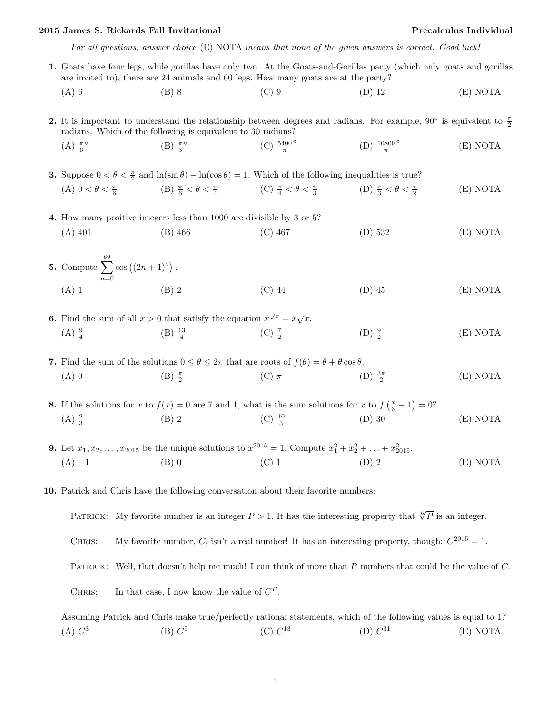## 2015 James S. Rickards Fall Invitational Precalculus Individual

For all questions, answer choice (E) NOTA means that none of the given answers is correct. Good luck!

1. Goats have four legs, while gorillas have only two. At the Goats-and-Gorillas party (which only goats and gorillas are invited to), there are 24 animals and 60 legs. How many goats are at the party? (A) 6 (B) 8 (C) 9 (D) 12 (E) NOTA 2. It is important to understand the relationship between degrees and radians. For example, 90° is equivalent to  $\frac{\pi}{2}$ radians. Which of the following is equivalent to 30 radians?  $(A) \frac{\pi}{6}$  $(B) \frac{\pi}{3}$ ° (C)  $\frac{5400}{\pi}$ ◦ (D)  $\frac{10800}{\pi}$ ◦ (E) NOTA **3.** Suppose  $0 < \theta < \frac{\pi}{2}$  and  $\ln(\sin \theta) - \ln(\cos \theta) = 1$ . Which of the following inequalities is true? (A)  $0 < \theta < \frac{\pi}{6}$  (B)  $\frac{\pi}{6} < \theta < \frac{\pi}{4}$  (C)  $\frac{\pi}{4} < \theta < \frac{\pi}{3}$ (D)  $\frac{\pi}{3} < \theta < \frac{\pi}{2}$ (E) NOTA 4. How many positive integers less than 1000 are divisible by 3 or 5? (A) 401 (B) 466 (C) 467 (D) 532 (E) NOTA 5. Compute  $\sum_{n=1}^{\infty}$  $n=0$  $\cos ((2n + 1)^{\circ})$ . (A) 1 (B) 2 (C) 44 (D) 45 (E) NOTA **6.** Find the sum of all  $x > 0$  that satisfy the equation  $x^{\sqrt{x}} = x\sqrt{x}$ .  $(A) \frac{9}{4}$  $(B) \frac{13}{4}$  $(C) \frac{7}{2}$  $(D) \frac{9}{2}$ (E) NOTA 7. Find the sum of the solutions  $0 \le \theta \le 2\pi$  that are roots of  $f(\theta) = \theta + \theta \cos \theta$ . (A) 0 (B)  $\frac{\pi}{2}$ (C)  $\pi$  (D)  $\frac{3\pi}{2}$ (E) NOTA **8.** If the solutions for x to  $f(x) = 0$  are 7 and 1, what is the sum solutions for x to  $f\left(\frac{x}{3} - 1\right) = 0$ ?  $(A) \frac{2}{3}$ (B) 2 (C)  $\frac{10}{3}$ (D) 30 (E) NOTA **9.** Let  $x_1, x_2, \ldots, x_{2015}$  be the unique solutions to  $x^{2015} = 1$ . Compute  $x_1^2 + x_2^2 + \ldots + x_{2015}^2$ . (A) −1 (B) 0 (C) 1 (D) 2 (E) NOTA 10. Patrick and Chris have the following conversation about their favorite numbers: PATRICK: My favorite number is an integer  $P > 1$ . It has the interesting property that  $\sqrt[6]{P}$  is an integer. CHRIS: My favorite number, C, isn't a real number! It has an interesting property, though:  $C^{2015} = 1$ . PATRICK: Well, that doesn't help me much! I can think of more than P numbers that could be the value of C.

CHRIS: In that case, I now know the value of  $C^P$ .

Assuming Patrick and Chris make true/perfectly rational statements, which of the following values is equal to 1?  $(A) C<sup>3</sup>$  $(B) C<sup>5</sup>$  $(C) C^{13}$ (D)  $C^{31}$  $(E) NOTA$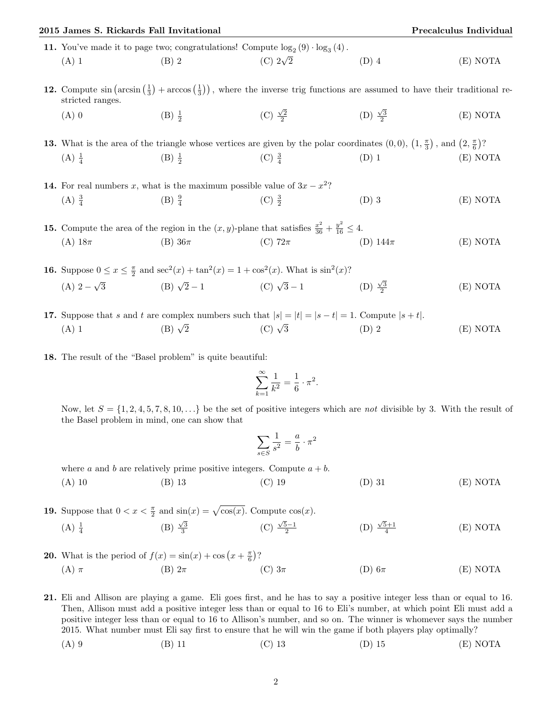| 2015 James S. Rickards Fall Invitational                                                                                                                            |                                                                                                                                                         |                          |                          | Precalculus Individual |  |
|---------------------------------------------------------------------------------------------------------------------------------------------------------------------|---------------------------------------------------------------------------------------------------------------------------------------------------------|--------------------------|--------------------------|------------------------|--|
| 11. You've made it to page two; congratulations! Compute $\log_2(9) \cdot \log_3(4)$ .                                                                              |                                                                                                                                                         |                          |                          |                        |  |
| $(A)$ 1                                                                                                                                                             | $(B)$ 2                                                                                                                                                 | (C) $2\sqrt{2}$          | $(D)$ 4                  | (E) NOTA               |  |
| 12. Compute $\sin (\arcsin (\frac{1}{3}) + \arccos (\frac{1}{3}))$ , where the inverse trig functions are assumed to have their traditional re-<br>stricted ranges. |                                                                                                                                                         |                          |                          |                        |  |
| $(A)$ 0                                                                                                                                                             | $(B) \frac{1}{2}$                                                                                                                                       | (C) $\frac{\sqrt{2}}{2}$ | (D) $\frac{\sqrt{3}}{2}$ | (E) NOTA               |  |
|                                                                                                                                                                     | <b>13.</b> What is the area of the triangle whose vertices are given by the polar coordinates $(0,0)$ , $(1,\frac{\pi}{3})$ , and $(2,\frac{\pi}{6})$ ? |                          |                          |                        |  |
| $(A) \frac{1}{4}$                                                                                                                                                   | (B) $\frac{1}{2}$ (C) $\frac{3}{4}$                                                                                                                     | $(D)$ 1                  |                          | (E) NOTA               |  |
| <b>14.</b> For real numbers x, what is the maximum possible value of $3x - x^2$ ?                                                                                   |                                                                                                                                                         |                          |                          |                        |  |
| $(A) \frac{3}{4}$                                                                                                                                                   | (B) $\frac{9}{4}$                                                                                                                                       | $(C) \frac{3}{2}$        | $(D)$ 3                  | (E) NOTA               |  |
| <b>15.</b> Compute the area of the region in the $(x, y)$ -plane that satisfies $\frac{x^2}{36} + \frac{y^2}{16} \le 4$ .                                           |                                                                                                                                                         |                          |                          |                        |  |
| (A) $18\pi$                                                                                                                                                         | $(B)$ 36 $\pi$                                                                                                                                          | (C) $72\pi$              | (D) $144\pi$             | (E) NOTA               |  |
| <b>16.</b> Suppose $0 \le x \le \frac{\pi}{2}$ and $\sec^2(x) + \tan^2(x) = 1 + \cos^2(x)$ . What is $\sin^2(x)$ ?                                                  |                                                                                                                                                         |                          |                          |                        |  |
|                                                                                                                                                                     | (A) $2-\sqrt{3}$ (B) $\sqrt{2}-1$ (C) $\sqrt{3}-1$ (D) $\frac{\sqrt{3}}{2}$                                                                             |                          |                          | (E) NOTA               |  |
| <b>17.</b> Suppose that s and t are complex numbers such that $ s  =  t  =  s - t  = 1$ . Compute $ s + t $ .                                                       |                                                                                                                                                         |                          |                          |                        |  |
| $(A)$ 1                                                                                                                                                             | (B) $\sqrt{2}$ (C) $\sqrt{3}$ (D) 2                                                                                                                     |                          |                          | (E) NOTA               |  |

18. The result of the "Basel problem" is quite beautiful:

$$
\sum_{k=1}^{\infty} \frac{1}{k^2} = \frac{1}{6} \cdot \pi^2.
$$

Now, let  $S = \{1, 2, 4, 5, 7, 8, 10, \ldots\}$  be the set of positive integers which are not divisible by 3. With the result of the Basel problem in mind, one can show that

$$
\sum_{s \in S} \frac{1}{s^2} = \frac{a}{b} \cdot \pi^2
$$

where a and b are relatively prime positive integers. Compute  $a + b$ .

(A) 10 (B) 13 (C) 19 (D) 31 (E) NOTA

**19.** Suppose that  $0 < x < \frac{\pi}{2}$  and  $\sin(x) = \sqrt{\cos(x)}$ . Compute  $\cos(x)$ .  $(A) \frac{1}{4}$ (B)  $\frac{\sqrt{3}}{3}$  $(C) \frac{\sqrt{5}-1}{2}$ (D)  $\frac{\sqrt{5}+1}{4}$ (E) NOTA

**20.** What is the period of  $f(x) = \sin(x) + \cos(x + \frac{\pi}{6})$ ? (A)  $\pi$  (B)  $2\pi$  (C)  $3\pi$  (D)  $6\pi$  (E) NOTA

21. Eli and Allison are playing a game. Eli goes first, and he has to say a positive integer less than or equal to 16. Then, Allison must add a positive integer less than or equal to 16 to Eli's number, at which point Eli must add a positive integer less than or equal to 16 to Allison's number, and so on. The winner is whomever says the number 2015. What number must Eli say first to ensure that he will win the game if both players play optimally?

(A) 9 (B) 11 (C) 13 (D) 15 (E) NOTA